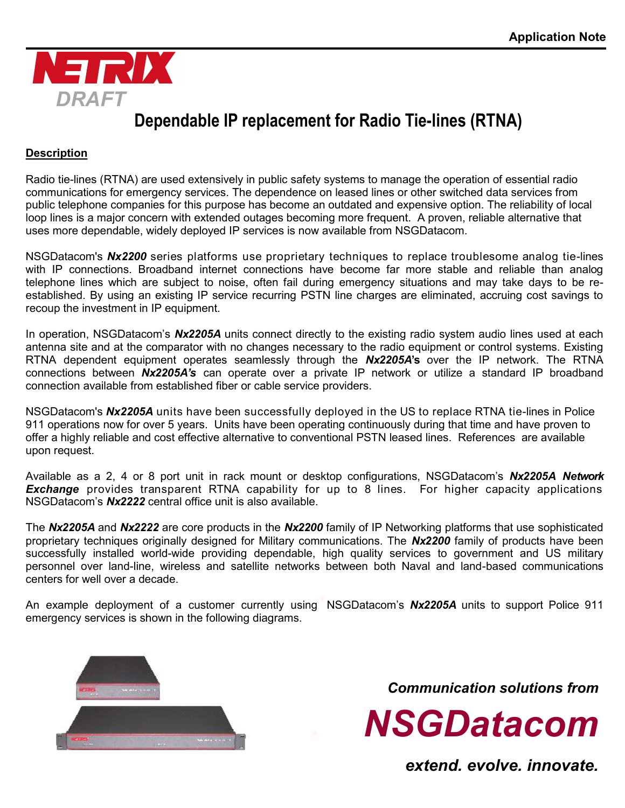

### **Dependable IP replacement for Radio Tie-lines (RTNA)**

### **Description**

Radio tie-lines (RTNA) are used extensively in public safety systems to manage the operation of essential radio communications for emergency services. The dependence on leased lines or other switched data services from public telephone companies for this purpose has become an outdated and expensive option. The reliability of local loop lines is a major concern with extended outages becoming more frequent. A proven, reliable alternative that uses more dependable, widely deployed IP services is now available from NSGDatacom.

NSGDatacom's *Nx2200* series platforms use proprietary techniques to replace troublesome analog tie-lines with IP connections. Broadband internet connections have become far more stable and reliable than analog telephone lines which are subject to noise, often fail during emergency situations and may take days to be reestablished. By using an existing IP service recurring PSTN line charges are eliminated, accruing cost savings to recoup the investment in IP equipment.

In operation, NSGDatacom's *Nx2205A* units connect directly to the existing radio system audio lines used at each antenna site and at the comparator with no changes necessary to the radio equipment or control systems. Existing RTNA dependent equipment operates seamlessly through the *Nx2205A***'s** over the IP network. The RTNA connections between *Nx2205A's* can operate over a private IP network or utilize a standard IP broadband connection available from established fiber or cable service providers.

NSGDatacom's *Nx2205A* units have been successfully deployed in the US to replace RTNA tie-lines in Police 911 operations now for over 5 years. Units have been operating continuously during that time and have proven to offer a highly reliable and cost effective alternative to conventional PSTN leased lines. References are available upon request.

Available as a 2, 4 or 8 port unit in rack mount or desktop configurations, NSGDatacom's *Nx2205A Network Exchange* provides transparent RTNA capability for up to 8 lines. For higher capacity applications NSGDatacom's *Nx2222* central office unit is also available.

The *Nx2205A* and *Nx2222* are core products in the *Nx2200* family of IP Networking platforms that use sophisticated proprietary techniques originally designed for Military communications. The *Nx2200* family of products have been successfully installed world-wide providing dependable, high quality services to government and US military personnel over land-line, wireless and satellite networks between both Naval and land-based communications centers for well over a decade.

An example deployment of a customer currently using NSGDatacom's *Nx2205A* units to support Police 911 emergency services is shown in the following diagrams.



*Communication solutions from*



*extend. evolve. innovate.*